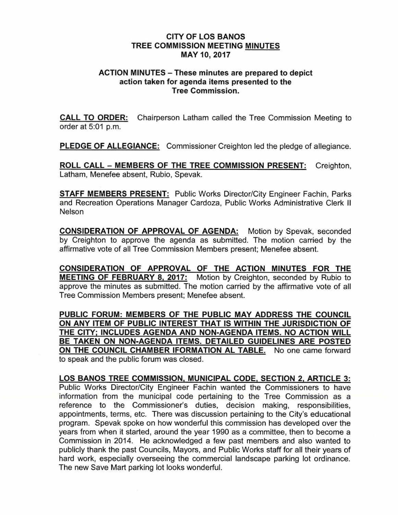## CITY OF LOS BANOS TREE COMMISSION MEETING MINUTES MAY 10, 2017

## ACTION MINUTES - These minutes are prepared to depict action taken for agenda items presented to the Tree Commission.

CALL TO ORDER: Chairperson Latham called the Tree Commission Meeting to order at 5:01 p.m.

PLEDGE OF ALLEGIANCE: Commissioner Creighton led the pledge of allegiance.

ROLL CALL - MEMBERS OF THE TREE COMMISSION PRESENT: Creighton, Latham, Menefee absent, Rubio, Spevak.

STAFF MEMBERS PRESENT: Public Works Director/City Engineer Fachin, Parks and Recreation Operations Manager Cardoza, Public Works Administrative Clerk II Nelson

CONSIDERATION OF APPROVAL OF AGENDA: Motion by Spevak, seconded by Creighton to approve the agenda as submitted. The motion carried by the affirmative vote of all Tree Commission Members present; Menefee absent.

CONSIDERATION OF APPROVAL OF THE ACTION MINUTES FOR THE MEETING OF FEBRUARY 8, 2017: Motion by Creighton, seconded by Rubio to approve the minutes as submitted. The motion carried by the affirmative vote of all Tree Commission Members present; Menefee absent.

PUBLIC FORUM: MEMBERS OF THE PUBLIC MAY ADDRESS THE COUNCIL ON ANY ITEM OF PUBLIC INTEREST THAT IS WITHIN THE JURISDICTION OF THE CITY; INCLUDES AGENDA AND NON-AGENDA ITEMS. NO ACTION WILL BE TAKEN ON NON-AGENDA ITEMS. DETAILED GUIDELINES ARE POSTED ON THE COUNCIL CHAMBER IFORMATION AL TABLE. No one came forward to speak and the public forum was closed.

LOS BANOS TREE COMMISSION, MUNICIPAL CODE, SECTION 2, ARTICLE 3: Public Works Director/City Engineer Fachin wanted the Commissioners to have information from the municipal code pertaining to the Tree Commission as a reference to the Commissioner's duties, decision making, responsibilities, appointments, terms, etc. There was discussion pertaining to the City's educational program. Spevak spoke on how wonderful this commission has developed over the years from when it started, around the year 1990 as a committee, then to become a Commission in 2014. He acknowledged a few past members and also wanted to publicly thank the past Councils, Mayors, and Public Works staff for all their years of hard work, especially overseeing the commercial landscape parking lot ordinance. The new Save Mart parking lot looks wonderful.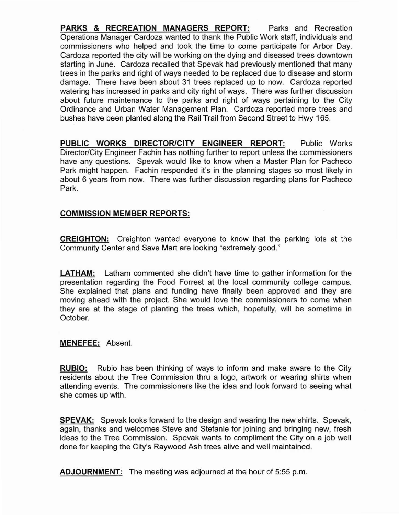**PARKS & RECREATION MANAGERS REPORT:** Parks and Recreation Operations Manager Cardoza wanted to thank the Public Work staff, individuals and commissioners who helped and took the time to come participate for Arbor Day. Cardoza reported the city will be working on the dying and diseased trees downtown starting in June. Cardoza recalled that Spevak had previously mentioned that many trees in the parks and right of ways needed to be replaced due to disease and storm damage. There have been about 31 trees replaced up to now. Cardoza reported watering has increased in parks and city right of ways. There was further discussion about future maintenance to the parks and right of ways pertaining to the City Ordinance and Urban Water Management Plan. Cardoza reported more trees and bushes have been planted along the Rail Trail from Second Street to Hwy 165.

**PUBLIC WORKS DIRECTOR/CITY ENGINEER REPORT:** Public Works Director/City Engineer Fachin has nothing further to report unless the commissioners have any questions. Spevak would like to know when a Master Plan for Pacheco Park might happen. Fachin responded it's in the planning stages so most likely in about 6 years from now. There was further discussion regarding plans for Pacheco Park.

## **COMMISSION MEMBER REPORTS:**

**CREIGHTON:** Creighton wanted everyone to know that the parking lots at the Community Center and Save Mart are looking "extremely good."

**LATHAM:** Latham commented she didn't have time to gather information for the presentation regarding the Food Forrest at the local community college campus. She explained that plans and funding have finally been approved and they are moving ahead with the project. She would love the commissioners to come when they are at the stage of planting the trees which, hopefully, will be sometime in October.

## **MENEFEE:** Absent.

**RUBIO:** Rubio has been thinking of ways to inform and make aware to the City residents about the Tree Commission thru a logo, artwork or wearing shirts when attending events. The commissioners like the idea and look forward to seeing what she comes up with.

**SPEVAK:** Spevak looks forward to the design and wearing the new shirts. Spevak, again, thanks and welcomes Steve and Stefanie for joining and bringing new, fresh ideas to the Tree Commission. Spevak wants to compliment the City on a job well done for keeping the City's Raywood Ash trees alive and well maintained.

**ADJOURNMENT:** The meeting was adjourned at the hour of 5:55 p.m.